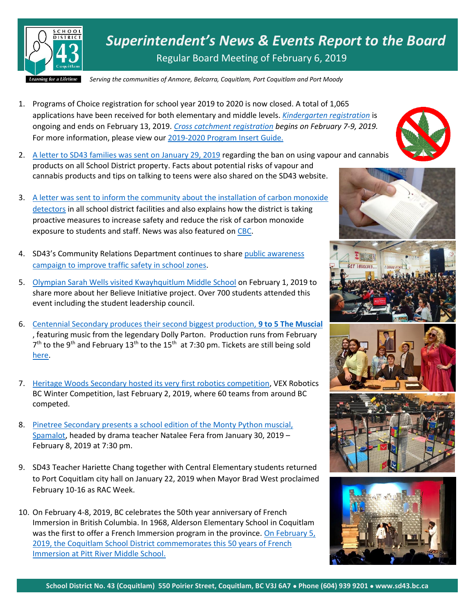

*Superintendent's News & Events Report to the Board* Regular Board Meeting of February 6, 2019

*Serving the communities of Anmore, Belcarra, Coquitlam, Port Coquitlam and Port Moody* 2019

- 1. Programs of Choice registration for school year 2019 to 2020 is now closed. A total of 1,065 applications have been received for both elementary and middle levels. *[Kindergarten registration](https://www.sd43.bc.ca/Schools/Pages/KindergartenRegistration.aspx)* is ongoing and ends on February 13, 2019. *[Cross catchment](https://www.sd43.bc.ca/Schools/Pages/CrossCatchment.aspx) registration begins on February 7-9, 2019.*  For more information, please view our [2019-2020 Program Insert Guide.](https://www.sd43.bc.ca/Programs/Documents/SD43ProgramInsertDec2019.pdf)
- 2. [A letter to SD43 families was sent on January 29, 2019](https://www.sd43.bc.ca/Resources/ParentResources/Pages/CannabisInfo.aspx) regarding the ban on using vapour and cannabis products on all School District property. Facts about potential risks of vapour and cannabis products and tips on talking to teens were also shared on the SD43 website.
- 3. [A letter was sent to inform the community about the installation of carbon monoxide](https://www.sd43.bc.ca/Pages/newsitem.aspx?ItemID=473&ListID=ed550773-e9ff-4e20-9964-4e1b213f518c&TemplateID=Announcement_Item)  [detectors](https://www.sd43.bc.ca/Pages/newsitem.aspx?ItemID=473&ListID=ed550773-e9ff-4e20-9964-4e1b213f518c&TemplateID=Announcement_Item) in all school district facilities and also explains how the district is taking proactive measures to increase safety and reduce the risk of carbon monoxide exposure to students and staff. News was also featured on [CBC.](https://www.cbc.ca/news/canada/british-columbia/coquitlam-schools-carbon-monoxide-detectors-1.4994134)
- 4. SD43's Community Relations Department continues to share public awareness [campaign to improve traffic safety in school zones.](https://www.tricitynews.com/news/coquitlam-crosswalk-causing-concern-1.23617959)
- 5. [Olympian Sarah Wells visited Kwayhquitlum Middle School](https://twitter.com/SarahWells400mh/status/1091354227882975232) on February 1, 2019 to share more about her Believe Initiative project. Over 700 students attended this event including the student leadership council.
- 6. [Centennial Secondary produces their second biggest production,](https://www.tricitynews.com/entertainment/centennial-turns-back-the-clock-with-9-to-5-1.23615767) **9 to 5 The Muscial**  , featuring music from the legendary Dolly Parton. Production runs from February  $7<sup>th</sup>$  to the 9<sup>th</sup> and February 13<sup>th</sup> to the 15<sup>th</sup> at 7:30 pm. Tickets are still being sold [here.](http://centtheatre.com/)
- 7. [Heritage Woods Secondary hosted its very first robotics competition,](https://www.tricitynews.com/news/students-use-robotics-to-put-theory-into-practice-1.23617332) VEX Robotics BC Winter Competition, last February 2, 2019, where 60 teams from around BC competed.
- 8. [Pinetree Secondary presents a school edition of the Monty Python muscial,](https://www.tricitynews.com/entertainment/pinetree-looks-on-the-bright-side-with-spamalot-1.23607077)  [Spamalot,](https://www.tricitynews.com/entertainment/pinetree-looks-on-the-bright-side-with-spamalot-1.23607077) headed by drama teacher Natalee Fera from January 30, 2019 – February 8, 2019 at 7:30 pm.
- 9. SD43 Teacher Hariette Chang together with Central Elementary students returned to Port Coquitlam city hall on January 22, 2019 when Mayor Brad West proclaimed February 10-16 as RAC Week.
- 10. On February 4-8, 2019, BC celebrates the 50th year anniversary of French Immersion in British Columbia. In 1968, Alderson Elementary School in Coquitlam was the first to offer a French Immersion program in the province. On February 5, [2019, the Coquitlam School District commemorates this 50 years of French](https://www.sd43.bc.ca/Pages/default.aspx)  [Immersion at Pitt River Middle School.](https://www.sd43.bc.ca/Pages/default.aspx)